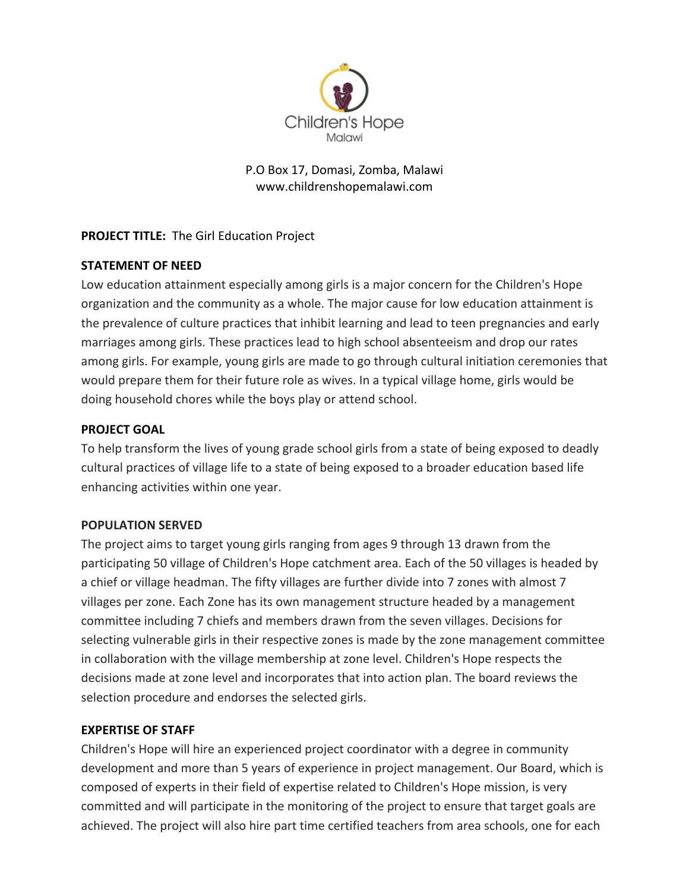

## P.O Box 17, Domasi, Zomba, Malawi www.childrenshopemalawi.com

# **PROJECT TITLE:** The Girl Education Project

# **STATEMENT OF NEED**

Low education attainment especially among girls is a major concern for the Children's Hope organization and the community as a whole. The major cause for low education attainment is the prevalence of culture practices that inhibit learning and lead to teen pregnancies and early marriages among girls. These practices lead to high school absenteeism and drop our rates among girls. For example, young girls are made to go through cultural initiation ceremonies that would prepare them for their future role as wives. In a typical village home, girls would be doing household chores while the boys play or attend school.

# **PROJECT GOAL**

To help transform the lives of young grade school girls from a state of being exposed to deadly cultural practices of village life to a state of being exposed to a broader education based life enhancing activities within one year.

## **POPULATION SERVED**

The project aims to target young girls ranging from ages 9 through 13 drawn from the participating 50 village of Children's Hope catchment area. Each of the 50 villages is headed by a chief or village headman. The fifty villages are further divide into 7 zones with almost 7 villages per zone. Each Zone has its own management structure headed by a management committee including 7 chiefs and members drawn from the seven villages. Decisions for selecting vulnerable girls in their respective zones is made by the zone management committee in collaboration with the village membership at zone level. Children's Hope respects the decisions made at zone level and incorporates that into action plan. The board reviews the selection procedure and endorses the selected girls.

## **EXPERTISE OF STAFF**

Children's Hope will hire an experienced project coordinator with a degree in community development and more than 5 years of experience in project management. Our Board, which is composed of experts in their field of expertise related to Children's Hope mission, is very committed and will participate in the monitoring of the project to ensure that target goals are achieved. The project will also hire part time certified teachers from area schools, one for each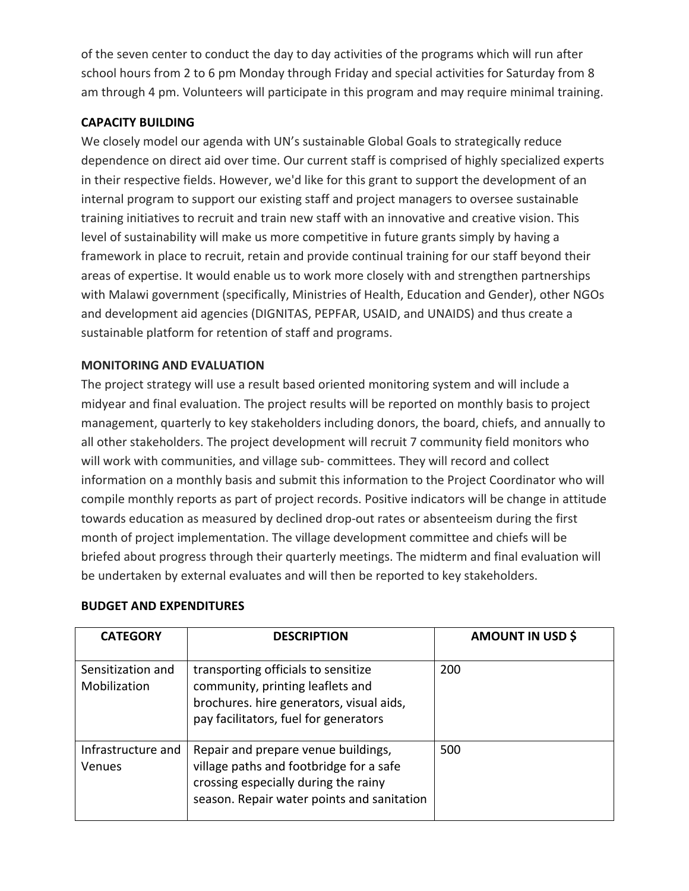of the seven center to conduct the day to day activities of the programs which will run after school hours from 2 to 6 pm Monday through Friday and special activities for Saturday from 8 am through 4 pm. Volunteers will participate in this program and may require minimal training.

## **CAPACITY BUILDING**

We closely model our agenda with UN's sustainable Global Goals to strategically reduce dependence on direct aid over time. Our current staff is comprised of highly specialized experts in their respective fields. However, we'd like for this grant to support the development of an internal program to support our existing staff and project managers to oversee sustainable training initiatives to recruit and train new staff with an innovative and creative vision. This level of sustainability will make us more competitive in future grants simply by having a framework in place to recruit, retain and provide continual training for our staff beyond their areas of expertise. It would enable us to work more closely with and strengthen partnerships with Malawi government (specifically, Ministries of Health, Education and Gender), other NGOs and development aid agencies (DIGNITAS, PEPFAR, USAID, and UNAIDS) and thus create a sustainable platform for retention of staff and programs.

## **MONITORING AND EVALUATION**

The project strategy will use a result based oriented monitoring system and will include a midyear and final evaluation. The project results will be reported on monthly basis to project management, quarterly to key stakeholders including donors, the board, chiefs, and annually to all other stakeholders. The project development will recruit 7 community field monitors who will work with communities, and village sub- committees. They will record and collect information on a monthly basis and submit this information to the Project Coordinator who will compile monthly reports as part of project records. Positive indicators will be change in attitude towards education as measured by declined drop-out rates or absenteeism during the first month of project implementation. The village development committee and chiefs will be briefed about progress through their quarterly meetings. The midterm and final evaluation will be undertaken by external evaluates and will then be reported to key stakeholders.

| <b>CATEGORY</b>                   | <b>DESCRIPTION</b>                                                                                                                                                   | AMOUNT IN USD \$ |
|-----------------------------------|----------------------------------------------------------------------------------------------------------------------------------------------------------------------|------------------|
| Sensitization and<br>Mobilization | transporting officials to sensitize<br>community, printing leaflets and<br>brochures. hire generators, visual aids,<br>pay facilitators, fuel for generators         | 200              |
| Infrastructure and<br>Venues      | Repair and prepare venue buildings,<br>village paths and footbridge for a safe<br>crossing especially during the rainy<br>season. Repair water points and sanitation | 500              |

## **BUDGET AND EXPENDITURES**